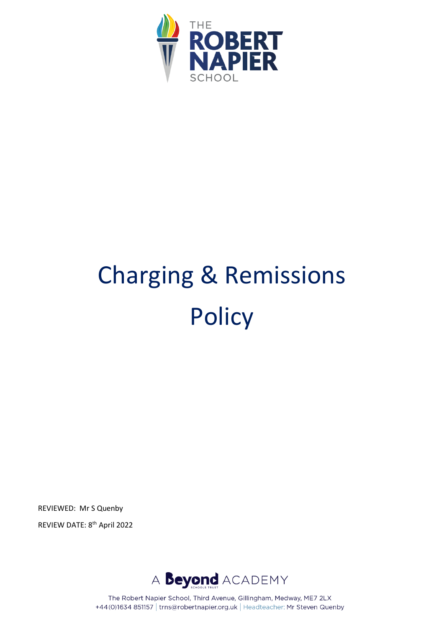

# Charging & Remissions **Policy**

REVIEWED: Mr S Quenby





The Robert Napier School, Third Avenue, Gillingham, Medway, ME7 2LX +44(0)1634 851157 | trns@robertnapier.org.uk | Headteacher: Mr Steven Quenby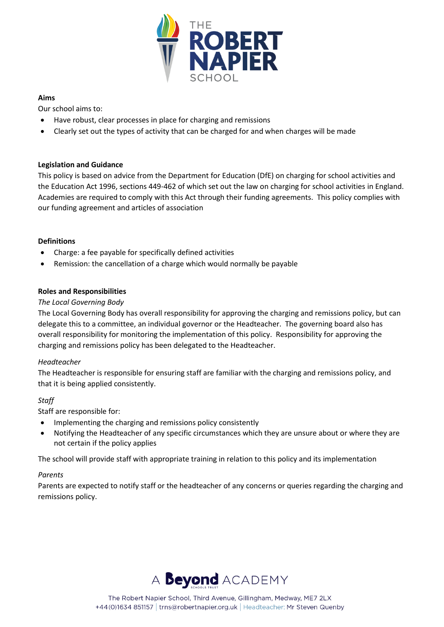

# **Aims**

Our school aims to:

- Have robust, clear processes in place for charging and remissions
- Clearly set out the types of activity that can be charged for and when charges will be made

# **Legislation and Guidance**

This policy is based on advice from the Department for Education (DfE) on charging for school activities and the Education Act 1996, sections 449-462 of which set out the law on charging for school activities in England. Academies are required to comply with this Act through their funding agreements. This policy complies with our funding agreement and articles of association

## **Definitions**

- Charge: a fee payable for specifically defined activities
- Remission: the cancellation of a charge which would normally be payable

## **Roles and Responsibilities**

## *The Local Governing Body*

The Local Governing Body has overall responsibility for approving the charging and remissions policy, but can delegate this to a committee, an individual governor or the Headteacher. The governing board also has overall responsibility for monitoring the implementation of this policy. Responsibility for approving the charging and remissions policy has been delegated to the Headteacher.

#### *Headteacher*

The Headteacher is responsible for ensuring staff are familiar with the charging and remissions policy, and that it is being applied consistently.

# *Staff*

Staff are responsible for:

- Implementing the charging and remissions policy consistently
- Notifying the Headteacher of any specific circumstances which they are unsure about or where they are not certain if the policy applies

The school will provide staff with appropriate training in relation to this policy and its implementation

# *Parents*

Parents are expected to notify staff or the headteacher of any concerns or queries regarding the charging and remissions policy.

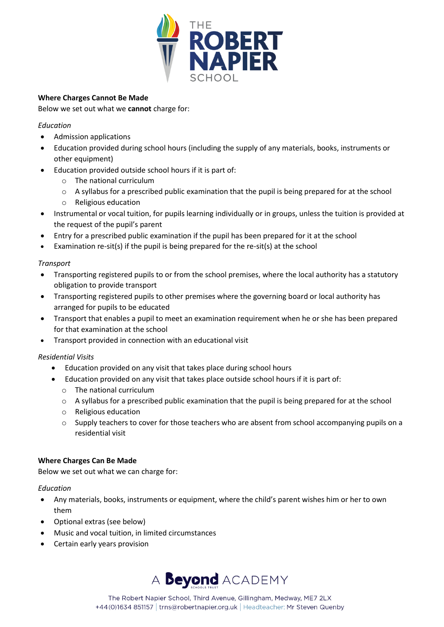

# **Where Charges Cannot Be Made**

Below we set out what we **cannot** charge for:

# *Education*

- Admission applications
- Education provided during school hours (including the supply of any materials, books, instruments or other equipment)
- Education provided outside school hours if it is part of:
	- o The national curriculum
	- $\circ$  A syllabus for a prescribed public examination that the pupil is being prepared for at the school
	- o Religious education
- Instrumental or vocal tuition, for pupils learning individually or in groups, unless the tuition is provided at the request of the pupil's parent
- Entry for a prescribed public examination if the pupil has been prepared for it at the school
- Examination re-sit(s) if the pupil is being prepared for the re-sit(s) at the school

# *Transport*

- Transporting registered pupils to or from the school premises, where the local authority has a statutory obligation to provide transport
- Transporting registered pupils to other premises where the governing board or local authority has arranged for pupils to be educated
- Transport that enables a pupil to meet an examination requirement when he or she has been prepared for that examination at the school
- Transport provided in connection with an educational visit

# *Residential Visits*

- Education provided on any visit that takes place during school hours
- Education provided on any visit that takes place outside school hours if it is part of:
	- o The national curriculum
	- $\circ$  A syllabus for a prescribed public examination that the pupil is being prepared for at the school
	- o Religious education
	- $\circ$  Supply teachers to cover for those teachers who are absent from school accompanying pupils on a residential visit

#### **Where Charges Can Be Made**

Below we set out what we can charge for:

#### *Education*

- Any materials, books, instruments or equipment, where the child's parent wishes him or her to own them
- Optional extras (see below)
- Music and vocal tuition, in limited circumstances
- Certain early years provision



The Robert Napier School, Third Avenue, Gillingham, Medway, ME7 2LX +44(0)1634 851157 | trns@robertnapier.org.uk | Headteacher: Mr Steven Quenby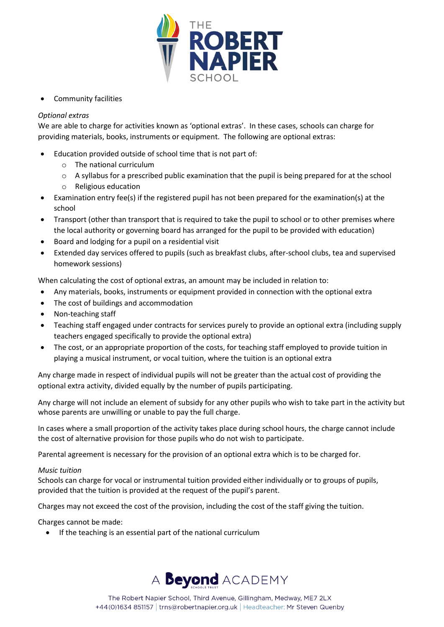

• Community facilities

# *Optional extras*

We are able to charge for activities known as 'optional extras'. In these cases, schools can charge for providing materials, books, instruments or equipment. The following are optional extras:

- Education provided outside of school time that is not part of:
	- o The national curriculum
	- $\circ$  A syllabus for a prescribed public examination that the pupil is being prepared for at the school
	- o Religious education
- Examination entry fee(s) if the registered pupil has not been prepared for the examination(s) at the school
- Transport (other than transport that is required to take the pupil to school or to other premises where the local authority or governing board has arranged for the pupil to be provided with education)
- Board and lodging for a pupil on a residential visit
- Extended day services offered to pupils (such as breakfast clubs, after-school clubs, tea and supervised homework sessions)

When calculating the cost of optional extras, an amount may be included in relation to:

- Any materials, books, instruments or equipment provided in connection with the optional extra
- The cost of buildings and accommodation
- Non-teaching staff
- Teaching staff engaged under contracts for services purely to provide an optional extra (including supply teachers engaged specifically to provide the optional extra)
- The cost, or an appropriate proportion of the costs, for teaching staff employed to provide tuition in playing a musical instrument, or vocal tuition, where the tuition is an optional extra

Any charge made in respect of individual pupils will not be greater than the actual cost of providing the optional extra activity, divided equally by the number of pupils participating.

Any charge will not include an element of subsidy for any other pupils who wish to take part in the activity but whose parents are unwilling or unable to pay the full charge.

In cases where a small proportion of the activity takes place during school hours, the charge cannot include the cost of alternative provision for those pupils who do not wish to participate.

Parental agreement is necessary for the provision of an optional extra which is to be charged for.

# *Music tuition*

Schools can charge for vocal or instrumental tuition provided either individually or to groups of pupils, provided that the tuition is provided at the request of the pupil's parent.

Charges may not exceed the cost of the provision, including the cost of the staff giving the tuition.

Charges cannot be made:

• If the teaching is an essential part of the national curriculum

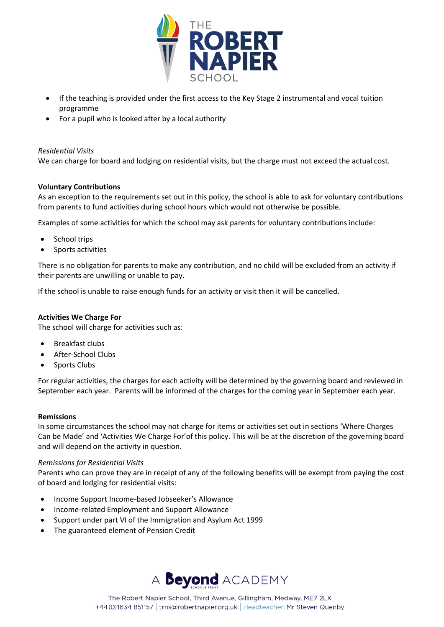

- If the teaching is provided under the first access to the Key Stage 2 instrumental and vocal tuition programme
- For a pupil who is looked after by a local authority

#### *Residential Visits*

We can charge for board and lodging on residential visits, but the charge must not exceed the actual cost.

#### **Voluntary Contributions**

As an exception to the requirements set out in this policy, the school is able to ask for voluntary contributions from parents to fund activities during school hours which would not otherwise be possible.

Examples of some activities for which the school may ask parents for voluntary contributions include:

- School trips
- Sports activities

There is no obligation for parents to make any contribution, and no child will be excluded from an activity if their parents are unwilling or unable to pay.

If the school is unable to raise enough funds for an activity or visit then it will be cancelled.

#### **Activities We Charge For**

The school will charge for activities such as:

- Breakfast clubs
- After-School Clubs
- Sports Clubs

For regular activities, the charges for each activity will be determined by the governing board and reviewed in September each year. Parents will be informed of the charges for the coming year in September each year.

#### **Remissions**

In some circumstances the school may not charge for items or activities set out in sections 'Where Charges Can be Made' and 'Activities We Charge For'of this policy. This will be at the discretion of the governing board and will depend on the activity in question.

#### *Remissions for Residential Visits*

Parents who can prove they are in receipt of any of the following benefits will be exempt from paying the cost of board and lodging for residential visits:

- Income Support Income-based Jobseeker's Allowance
- Income-related Employment and Support Allowance
- Support under part VI of the Immigration and Asylum Act 1999
- The guaranteed element of Pension Credit